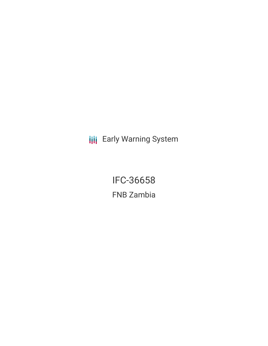**III** Early Warning System

IFC-36658 FNB Zambia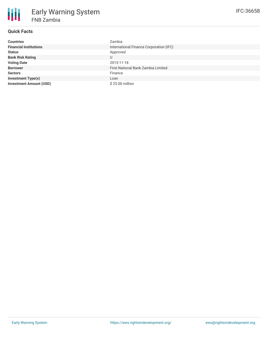# **Quick Facts**

| <b>Countries</b>               | Zambia                                  |
|--------------------------------|-----------------------------------------|
| <b>Financial Institutions</b>  | International Finance Corporation (IFC) |
| <b>Status</b>                  | Approved                                |
| <b>Bank Risk Rating</b>        | U                                       |
| <b>Voting Date</b>             | 2015-11-18                              |
| <b>Borrower</b>                | First National Bank Zambia Limited      |
| <b>Sectors</b>                 | Finance                                 |
| <b>Investment Type(s)</b>      | Loan                                    |
| <b>Investment Amount (USD)</b> | \$25.00 million                         |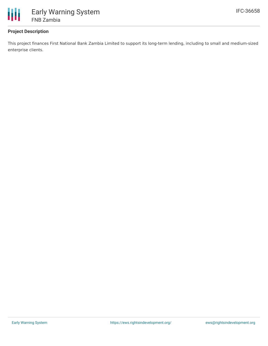

## **Project Description**

This project finances First National Bank Zambia Limited to support its long-term lending, including to small and medium-sized enterprise clients.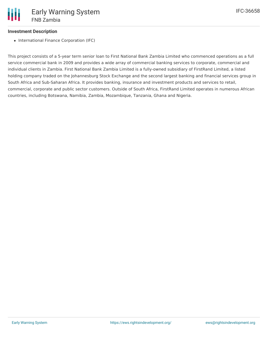### **Investment Description**

• International Finance Corporation (IFC)

This project consists of a 5-year term senior loan to First National Bank Zambia Limited who commenced operations as a full service commercial bank in 2009 and provides a wide array of commercial banking services to corporate, commercial and individual clients in Zambia. First National Bank Zambia Limited is a fully-owned subsidiary of FirstRand Limited, a listed holding company traded on the Johannesburg Stock Exchange and the second largest banking and financial services group in South Africa and Sub-Saharan Africa. It provides banking, insurance and investment products and services to retail, commercial, corporate and public sector customers. Outside of South Africa, FirstRand Limited operates in numerous African countries, including Botswana, Namibia, Zambia, Mozambique, Tanzania, Ghana and Nigeria.